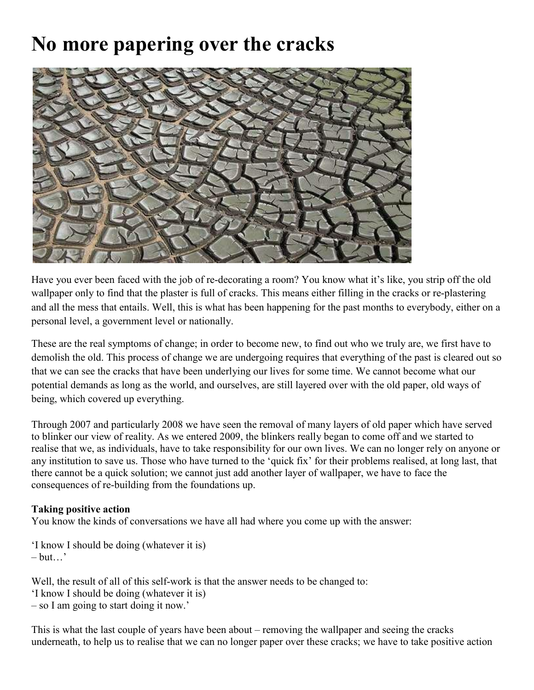## **No more papering over the cracks**



Have you ever been faced with the job of re-decorating a room? You know what it's like, you strip off the old wallpaper only to find that the plaster is full of cracks. This means either filling in the cracks or re-plastering and all the mess that entails. Well, this is what has been happening for the past months to everybody, either on a personal level, a government level or nationally.

These are the real symptoms of change; in order to become new, to find out who we truly are, we first have to demolish the old. This process of change we are undergoing requires that everything of the past is cleared out so that we can see the cracks that have been underlying our lives for some time. We cannot become what our potential demands as long as the world, and ourselves, are still layered over with the old paper, old ways of being, which covered up everything.

Through 2007 and particularly 2008 we have seen the removal of many layers of old paper which have served to blinker our view of reality. As we entered 2009, the blinkers really began to come off and we started to realise that we, as individuals, have to take responsibility for our own lives. We can no longer rely on anyone or any institution to save us. Those who have turned to the 'quick fix' for their problems realised, at long last, that there cannot be a quick solution; we cannot just add another layer of wallpaper, we have to face the consequences of re-building from the foundations up.

## **Taking positive action**

You know the kinds of conversations we have all had where you come up with the answer:

'I know I should be doing (whatever it is)  $-$  but…'

Well, the result of all of this self-work is that the answer needs to be changed to: 'I know I should be doing (whatever it is)

– so I am going to start doing it now.'

This is what the last couple of years have been about – removing the wallpaper and seeing the cracks underneath, to help us to realise that we can no longer paper over these cracks; we have to take positive action